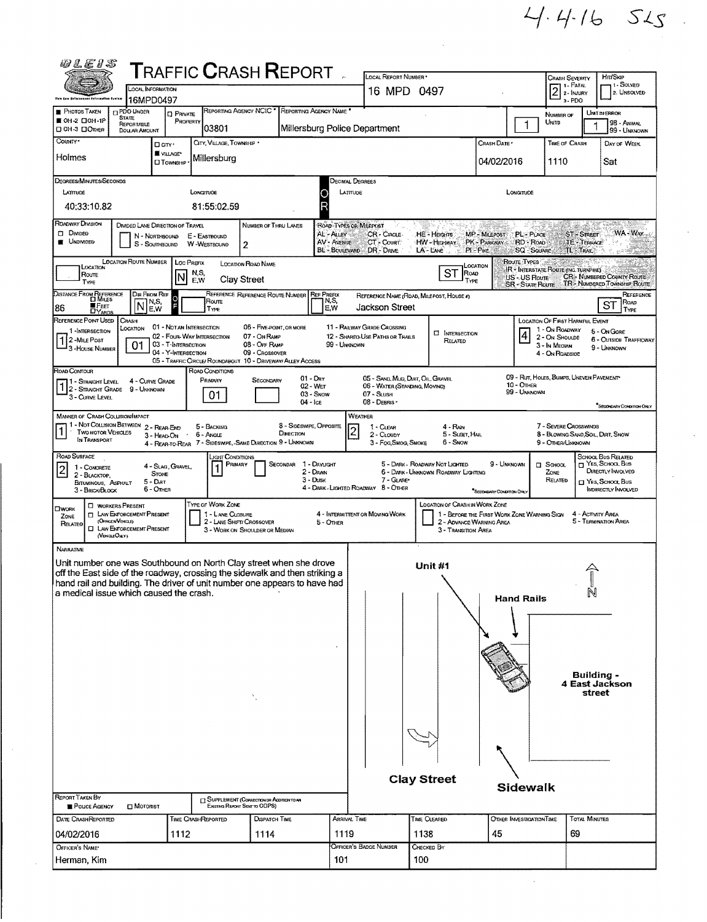$4446$   $515$ 

| 1 - SOLVED<br>$2^{\frac{1 - \text{FATA}}{2 - \text{IANIAD}}}$<br>LOCAL INFORMATION<br>16 MPD 0497<br>2. UNSOLVED<br>this Les Enforcement Auformation Brains<br>16MPD0497<br>a - PDO<br>REPORTING AGENCY NCIC'<br>REPORTING AGENCY NAME<br>PDO UNDER<br><b>PHOTOS TAKEN</b><br>UNIT IN ERROR<br><b>D</b> PRIVATE<br>NUMBER OF<br><b>STATE</b><br>■ 0Н-2 □ 0Н-1Р<br>PROPERTY<br>1<br>Units<br>98 - Animal<br><b>REPORTABLE</b><br>03801<br>Millersburg Police Department<br>99 - Unknown<br><b>DOUAR AMOUNT</b><br>COUNTY*<br>CITY, VILLAGE, TOWNSHIP +<br>CRASH DATE *<br>TIME OF CRASH<br>DAY OF WEEK<br>□ any·<br>W VILLAGE*<br>Holmes<br>Millersburg<br>04/02/2016<br>1110<br>Sat<br><b>CITOWNSHIP</b><br>Degrees/MINUTES/Seconds<br>Decimal Degrees<br>LATTUDE<br>LONGITUDE<br>LATTUDE<br>LONGITUDE<br>40:33:10.82<br>81:55:02.59<br>ROADWAY DIVISION<br><b>DIVIDED LANE DIRECTION OF TRAVEL</b><br>ROAD TYPES OR MILEPOST<br><b>NUMBER OF THRU LANES</b><br>WA - Way<br>$\Box$ Divided<br>MP - MILEPOST<br>PL-PLACE<br>ST-STREET<br>AL-ALLEY<br>CR-Cincle<br>HE - HEIGHTS<br>N - NORTHBOUND<br>E - EASTBOUND<br>UNDIVIDED<br><b>AV - AVENUE</b><br>PK - PARKWAY<br>CT - Court<br>HW - HIGHWAY<br>RD - ROAD<br><b>JE TERRACE</b><br>S - SOUTHBOUND<br>W-Westbound<br>2<br>BL - BOULEVARD DR - DRIVE<br>LA-LANE<br>PI-PIKE<br><b>SQ - SQUARE</b><br>TL - TRAIL<br>- 8<br>LOCATION ROUTE NUMBER<br>Route Types<br>Loc Prenx<br><b>LOCATION ROAD NAME</b><br>LOCATION<br>LOCATION<br>IR - INTERSTATE ROUTE (INC. TURNPIKE)<br>ST<br>N,S,<br>RoAD<br>Route<br><b>CR - NUMBERED COUNTY ROUTE</b><br>US - US Route<br><b>Clay Street</b><br>E, W<br>TYPE<br>TYPE<br><b>TR-NUMBERED TOWNSHIP ROUTE</b><br><b>SR - State Route</b><br>Distance From Reference<br>Di Miles<br>Dir From Ref<br>REFERENCE REFERENCE ROUTE NUMBER<br><b>REF PREFIX</b><br>REFERENCE<br>REFERENCE NAME (ROAD, MILEPOST, HOUSE 4)<br>Ō<br>N,S,<br>Route<br>N,S,<br>ROAD<br>N<br>ST<br>≣ Fεετ<br>Jackson Street<br>86<br>E,W<br>E,W<br>TYPE<br>TYPE<br><b>DYARDS</b><br>REFERENCE POINT USED   CRASH<br>LOCATION OF FIRST HARMFUL EVENT<br>01 - NOTAN INTERSECTION<br>11 - RAILWAY GRADE CROSSING<br>06 - FIVE-POINT, OR MORE<br>LOCATION<br>1 - On ROADWAY<br>1-INTERSECTION<br>5 - On Gore<br><b>EI</b> INTERSECTION<br>4<br>02 - FOUR-WAY INTERSECTION<br>07 - On RAMP<br>12 - SHARED-USE PATHS OR TRAILS<br>2 - ON SHOULDE<br>12 - Mile Post<br>3 - House Number<br><b>6 - OUTSIDE TRAFFICWAY</b><br>RELATED<br>03 - T-INTERSECTION<br>08 - Off RAMP<br>01<br>99 - UNKNOWN<br>3 - In Median<br>9 - UNKNOWN<br>04 - Y-INTERSECTION<br>09 - Crossover<br>4 - On ROADSIDE<br>05 - TRAFFIC CIRCLE/ ROUNDABOUT 10 - DRIVEWAY/ ALLEY ACCESS<br>ROAD CONDITIONS<br>09 - RUT, HOLES, BUMPS, UNEVEN PAVEMENT<br>$01 - Dx$<br>05 - SAND, MUD, DART, OIL, GRAVEL<br>Primary<br>4 - CURVE GRADE<br>SECONDARY<br>1 - Straight Level<br>10 - Отнек<br>02 - Wer<br>06 - WATER (STANDING, MOVING)<br>$1/2$ - Straight Grade 9 - Unknown<br>99 - Unknown<br>$03 -$ SNOW<br>07 - SLUSH<br>01.<br>3 - CURVE LEVEL<br>08 - DEBRIS<br>$04 -$ Ice<br>SECONDARY CONDITION ONLY<br>WEATHER<br><b>MANNER OF CRASH COLLISION/IMPACT</b><br>1 - Not Collision Between 2 - Rear-End<br>8 - Sideswipe, Opposite<br>7 - SEVERE CROSSWINDS<br>5 - BACKING<br>4 - Rain<br>1 - CLEAR<br>$\overline{\mathbf{c}}$<br><b>TWO MOTOR VEHICLES</b><br>DIRECTION<br>6 - Angle<br>2 - CLOUDY<br>5 - Sleet, Hail<br>8 - Blowing Sand, Soil, Datt, Snow<br>3 - HEAD-ON<br>IN TRANSPORT<br>4 - REAR-TO-REAR 7 - SIDESWIFE, SAME DIRECTION 9 - UNKNOWN<br>6 - Snow<br>3 - Fog Smog, Smoke<br>9 - OTHER/UNKNOWN<br>ROAD SURFACE<br>School Bus Related<br>"Цант <b>С</b> омогномs<br>T YES, SCHOOL Bus<br>SECONDAR 1 - DAYLIGHT<br>5 - DARK - ROADWAY NOT LIGHTED<br>9 - UNKNOWN<br>Primary<br><b>CI</b> SCHOOL<br>4 - SLAG, GRAVEL,<br>1 - CONCRETE<br>$\vert$ 2<br>DIRECTLY INVOLVED<br>2 - DAWN<br>6 - DARK - UNKNOWN ROADWAY LIGHTING<br>ZONE<br><b>STONE</b><br>2 - BLACKTOP,<br>$3 -$ Dusk<br>$7 - GLAP$<br>RELATED<br>$5 -$ Dat<br>Nes, School, Bus<br>BITUMINOUS, ASPHALT<br>4 - DARK - LIGHTED ROADWAY 8 - OTHER<br>6 - OTHER<br>INDIRECTLY INVOLVED<br>3 - Brick/Block<br>SECONDARY CONDITION ONLY<br><b>TYPE OF WORK ZONE</b><br><b>LOCATION OF CRASH IN WORK ZONE</b><br><b>C WORKERS PRESENT</b><br><b>T LAW ENFORCEMENT PRESENT</b><br>1 - LANE CLOSURE<br>4 - INTERMITTENT OR MOVING WORK<br>1 - BEFORE THE FIRST WORK ZONE WARNING SIGN<br>4 - Activity Area<br>ZONE<br>(OFFICER/VEHICLE)<br>5 - TERMINATION AREA<br>2 - LANE SHIFT/ CROSSOVER<br>2 - ADVANCE WARNING AREA<br>5 - OTHER<br>RELATED<br><b>CI LAW ENFORCEMENT PRESENT</b><br>3 - WORK ON SHOULDER OR MEDIAN<br>3 - Transition Area<br>(VERGEORY)<br>NARRATIVE<br>Unit number one was Southbound on North Clay street when she drove<br><b>Unit #1</b><br>off the East side of the roadway, crossing the sidewalk and then striking a<br>hand rail and building. The driver of unit number one appears to have had<br>N<br>a medical issue which caused the crash.<br><b>Hand Rails</b><br>Building -<br>4 East Jackson<br>street<br><b>Clay Street</b><br>Sidewalk<br>["] SUPPLEMENT (CORRECTION OR ADDITION TO AN<br>Existing Report Sent to ODPS)<br><b>POLICE AGENCY</b><br>MOTORIST<br><b>TOTAL MINIJTES</b><br><b>DISPATCH TIME</b><br><b>ARRIVAL TIME</b><br>TIME CLEARED<br>OTHER INVESTIGATION TIME<br>DATE CRASHREPORTED<br>TIME CRASHREPORTED<br>1119<br>45<br>1138<br>69<br>04/02/2016<br>1112<br>1114<br>OFFICER'S BADGE NUMBER<br>CHECKED BY<br>OFFICER'S NAME*<br>100<br>101 | WLE15                       |  |  |  |  |  |  | <b>LOCAL REPORT NUMBER</b> |                            |  |  |  |  |  |  |  |
|---------------------------------------------------------------------------------------------------------------------------------------------------------------------------------------------------------------------------------------------------------------------------------------------------------------------------------------------------------------------------------------------------------------------------------------------------------------------------------------------------------------------------------------------------------------------------------------------------------------------------------------------------------------------------------------------------------------------------------------------------------------------------------------------------------------------------------------------------------------------------------------------------------------------------------------------------------------------------------------------------------------------------------------------------------------------------------------------------------------------------------------------------------------------------------------------------------------------------------------------------------------------------------------------------------------------------------------------------------------------------------------------------------------------------------------------------------------------------------------------------------------------------------------------------------------------------------------------------------------------------------------------------------------------------------------------------------------------------------------------------------------------------------------------------------------------------------------------------------------------------------------------------------------------------------------------------------------------------------------------------------------------------------------------------------------------------------------------------------------------------------------------------------------------------------------------------------------------------------------------------------------------------------------------------------------------------------------------------------------------------------------------------------------------------------------------------------------------------------------------------------------------------------------------------------------------------------------------------------------------------------------------------------------------------------------------------------------------------------------------------------------------------------------------------------------------------------------------------------------------------------------------------------------------------------------------------------------------------------------------------------------------------------------------------------------------------------------------------------------------------------------------------------------------------------------------------------------------------------------------------------------------------------------------------------------------------------------------------------------------------------------------------------------------------------------------------------------------------------------------------------------------------------------------------------------------------------------------------------------------------------------------------------------------------------------------------------------------------------------------------------------------------------------------------------------------------------------------------------------------------------------------------------------------------------------------------------------------------------------------------------------------------------------------------------------------------------------------------------------------------------------------------------------------------------------------------------------------------------------------------------------------------------------------------------------------------------------------------------------------------------------------------------------------------------------------------------------------------------------------------------------------------------------------------------------------------------------------------------------------------------------------------------------------------------------------------------------------------------------------------------------------------------------------------------------------------------------------------------------------------------------------------------------------------------------------------------------------------------------------------------------------------------------------------------------------------------------------------------------------------------------------------------------------------------------------------------------------------------------------------------------------------------------------------------------------------------------------------------------------------------------------------------------------------------------------------------------------------------------------------------------------------------------------------------------------------------------------------|-----------------------------|--|--|--|--|--|--|----------------------------|----------------------------|--|--|--|--|--|--|--|
|                                                                                                                                                                                                                                                                                                                                                                                                                                                                                                                                                                                                                                                                                                                                                                                                                                                                                                                                                                                                                                                                                                                                                                                                                                                                                                                                                                                                                                                                                                                                                                                                                                                                                                                                                                                                                                                                                                                                                                                                                                                                                                                                                                                                                                                                                                                                                                                                                                                                                                                                                                                                                                                                                                                                                                                                                                                                                                                                                                                                                                                                                                                                                                                                                                                                                                                                                                                                                                                                                                                                                                                                                                                                                                                                                                                                                                                                                                                                                                                                                                                                                                                                                                                                                                                                                                                                                                                                                                                                                                                                                                                                                                                                                                                                                                                                                                                                                                                                                                                                                                                                                                                                                                                                                                                                                                                                                                                                                                                                                                                                                                                                   | <b>TRAFFIC CRASH REPORT</b> |  |  |  |  |  |  |                            | Hrr/Skip<br>Crash Severity |  |  |  |  |  |  |  |
|                                                                                                                                                                                                                                                                                                                                                                                                                                                                                                                                                                                                                                                                                                                                                                                                                                                                                                                                                                                                                                                                                                                                                                                                                                                                                                                                                                                                                                                                                                                                                                                                                                                                                                                                                                                                                                                                                                                                                                                                                                                                                                                                                                                                                                                                                                                                                                                                                                                                                                                                                                                                                                                                                                                                                                                                                                                                                                                                                                                                                                                                                                                                                                                                                                                                                                                                                                                                                                                                                                                                                                                                                                                                                                                                                                                                                                                                                                                                                                                                                                                                                                                                                                                                                                                                                                                                                                                                                                                                                                                                                                                                                                                                                                                                                                                                                                                                                                                                                                                                                                                                                                                                                                                                                                                                                                                                                                                                                                                                                                                                                                                                   |                             |  |  |  |  |  |  |                            |                            |  |  |  |  |  |  |  |
|                                                                                                                                                                                                                                                                                                                                                                                                                                                                                                                                                                                                                                                                                                                                                                                                                                                                                                                                                                                                                                                                                                                                                                                                                                                                                                                                                                                                                                                                                                                                                                                                                                                                                                                                                                                                                                                                                                                                                                                                                                                                                                                                                                                                                                                                                                                                                                                                                                                                                                                                                                                                                                                                                                                                                                                                                                                                                                                                                                                                                                                                                                                                                                                                                                                                                                                                                                                                                                                                                                                                                                                                                                                                                                                                                                                                                                                                                                                                                                                                                                                                                                                                                                                                                                                                                                                                                                                                                                                                                                                                                                                                                                                                                                                                                                                                                                                                                                                                                                                                                                                                                                                                                                                                                                                                                                                                                                                                                                                                                                                                                                                                   | □ OH-3 □ OTHER              |  |  |  |  |  |  |                            |                            |  |  |  |  |  |  |  |
|                                                                                                                                                                                                                                                                                                                                                                                                                                                                                                                                                                                                                                                                                                                                                                                                                                                                                                                                                                                                                                                                                                                                                                                                                                                                                                                                                                                                                                                                                                                                                                                                                                                                                                                                                                                                                                                                                                                                                                                                                                                                                                                                                                                                                                                                                                                                                                                                                                                                                                                                                                                                                                                                                                                                                                                                                                                                                                                                                                                                                                                                                                                                                                                                                                                                                                                                                                                                                                                                                                                                                                                                                                                                                                                                                                                                                                                                                                                                                                                                                                                                                                                                                                                                                                                                                                                                                                                                                                                                                                                                                                                                                                                                                                                                                                                                                                                                                                                                                                                                                                                                                                                                                                                                                                                                                                                                                                                                                                                                                                                                                                                                   |                             |  |  |  |  |  |  |                            |                            |  |  |  |  |  |  |  |
|                                                                                                                                                                                                                                                                                                                                                                                                                                                                                                                                                                                                                                                                                                                                                                                                                                                                                                                                                                                                                                                                                                                                                                                                                                                                                                                                                                                                                                                                                                                                                                                                                                                                                                                                                                                                                                                                                                                                                                                                                                                                                                                                                                                                                                                                                                                                                                                                                                                                                                                                                                                                                                                                                                                                                                                                                                                                                                                                                                                                                                                                                                                                                                                                                                                                                                                                                                                                                                                                                                                                                                                                                                                                                                                                                                                                                                                                                                                                                                                                                                                                                                                                                                                                                                                                                                                                                                                                                                                                                                                                                                                                                                                                                                                                                                                                                                                                                                                                                                                                                                                                                                                                                                                                                                                                                                                                                                                                                                                                                                                                                                                                   |                             |  |  |  |  |  |  |                            |                            |  |  |  |  |  |  |  |
|                                                                                                                                                                                                                                                                                                                                                                                                                                                                                                                                                                                                                                                                                                                                                                                                                                                                                                                                                                                                                                                                                                                                                                                                                                                                                                                                                                                                                                                                                                                                                                                                                                                                                                                                                                                                                                                                                                                                                                                                                                                                                                                                                                                                                                                                                                                                                                                                                                                                                                                                                                                                                                                                                                                                                                                                                                                                                                                                                                                                                                                                                                                                                                                                                                                                                                                                                                                                                                                                                                                                                                                                                                                                                                                                                                                                                                                                                                                                                                                                                                                                                                                                                                                                                                                                                                                                                                                                                                                                                                                                                                                                                                                                                                                                                                                                                                                                                                                                                                                                                                                                                                                                                                                                                                                                                                                                                                                                                                                                                                                                                                                                   |                             |  |  |  |  |  |  |                            |                            |  |  |  |  |  |  |  |
|                                                                                                                                                                                                                                                                                                                                                                                                                                                                                                                                                                                                                                                                                                                                                                                                                                                                                                                                                                                                                                                                                                                                                                                                                                                                                                                                                                                                                                                                                                                                                                                                                                                                                                                                                                                                                                                                                                                                                                                                                                                                                                                                                                                                                                                                                                                                                                                                                                                                                                                                                                                                                                                                                                                                                                                                                                                                                                                                                                                                                                                                                                                                                                                                                                                                                                                                                                                                                                                                                                                                                                                                                                                                                                                                                                                                                                                                                                                                                                                                                                                                                                                                                                                                                                                                                                                                                                                                                                                                                                                                                                                                                                                                                                                                                                                                                                                                                                                                                                                                                                                                                                                                                                                                                                                                                                                                                                                                                                                                                                                                                                                                   |                             |  |  |  |  |  |  |                            |                            |  |  |  |  |  |  |  |
|                                                                                                                                                                                                                                                                                                                                                                                                                                                                                                                                                                                                                                                                                                                                                                                                                                                                                                                                                                                                                                                                                                                                                                                                                                                                                                                                                                                                                                                                                                                                                                                                                                                                                                                                                                                                                                                                                                                                                                                                                                                                                                                                                                                                                                                                                                                                                                                                                                                                                                                                                                                                                                                                                                                                                                                                                                                                                                                                                                                                                                                                                                                                                                                                                                                                                                                                                                                                                                                                                                                                                                                                                                                                                                                                                                                                                                                                                                                                                                                                                                                                                                                                                                                                                                                                                                                                                                                                                                                                                                                                                                                                                                                                                                                                                                                                                                                                                                                                                                                                                                                                                                                                                                                                                                                                                                                                                                                                                                                                                                                                                                                                   |                             |  |  |  |  |  |  |                            |                            |  |  |  |  |  |  |  |
|                                                                                                                                                                                                                                                                                                                                                                                                                                                                                                                                                                                                                                                                                                                                                                                                                                                                                                                                                                                                                                                                                                                                                                                                                                                                                                                                                                                                                                                                                                                                                                                                                                                                                                                                                                                                                                                                                                                                                                                                                                                                                                                                                                                                                                                                                                                                                                                                                                                                                                                                                                                                                                                                                                                                                                                                                                                                                                                                                                                                                                                                                                                                                                                                                                                                                                                                                                                                                                                                                                                                                                                                                                                                                                                                                                                                                                                                                                                                                                                                                                                                                                                                                                                                                                                                                                                                                                                                                                                                                                                                                                                                                                                                                                                                                                                                                                                                                                                                                                                                                                                                                                                                                                                                                                                                                                                                                                                                                                                                                                                                                                                                   |                             |  |  |  |  |  |  |                            |                            |  |  |  |  |  |  |  |
|                                                                                                                                                                                                                                                                                                                                                                                                                                                                                                                                                                                                                                                                                                                                                                                                                                                                                                                                                                                                                                                                                                                                                                                                                                                                                                                                                                                                                                                                                                                                                                                                                                                                                                                                                                                                                                                                                                                                                                                                                                                                                                                                                                                                                                                                                                                                                                                                                                                                                                                                                                                                                                                                                                                                                                                                                                                                                                                                                                                                                                                                                                                                                                                                                                                                                                                                                                                                                                                                                                                                                                                                                                                                                                                                                                                                                                                                                                                                                                                                                                                                                                                                                                                                                                                                                                                                                                                                                                                                                                                                                                                                                                                                                                                                                                                                                                                                                                                                                                                                                                                                                                                                                                                                                                                                                                                                                                                                                                                                                                                                                                                                   |                             |  |  |  |  |  |  |                            |                            |  |  |  |  |  |  |  |
|                                                                                                                                                                                                                                                                                                                                                                                                                                                                                                                                                                                                                                                                                                                                                                                                                                                                                                                                                                                                                                                                                                                                                                                                                                                                                                                                                                                                                                                                                                                                                                                                                                                                                                                                                                                                                                                                                                                                                                                                                                                                                                                                                                                                                                                                                                                                                                                                                                                                                                                                                                                                                                                                                                                                                                                                                                                                                                                                                                                                                                                                                                                                                                                                                                                                                                                                                                                                                                                                                                                                                                                                                                                                                                                                                                                                                                                                                                                                                                                                                                                                                                                                                                                                                                                                                                                                                                                                                                                                                                                                                                                                                                                                                                                                                                                                                                                                                                                                                                                                                                                                                                                                                                                                                                                                                                                                                                                                                                                                                                                                                                                                   |                             |  |  |  |  |  |  |                            |                            |  |  |  |  |  |  |  |
|                                                                                                                                                                                                                                                                                                                                                                                                                                                                                                                                                                                                                                                                                                                                                                                                                                                                                                                                                                                                                                                                                                                                                                                                                                                                                                                                                                                                                                                                                                                                                                                                                                                                                                                                                                                                                                                                                                                                                                                                                                                                                                                                                                                                                                                                                                                                                                                                                                                                                                                                                                                                                                                                                                                                                                                                                                                                                                                                                                                                                                                                                                                                                                                                                                                                                                                                                                                                                                                                                                                                                                                                                                                                                                                                                                                                                                                                                                                                                                                                                                                                                                                                                                                                                                                                                                                                                                                                                                                                                                                                                                                                                                                                                                                                                                                                                                                                                                                                                                                                                                                                                                                                                                                                                                                                                                                                                                                                                                                                                                                                                                                                   |                             |  |  |  |  |  |  |                            |                            |  |  |  |  |  |  |  |
|                                                                                                                                                                                                                                                                                                                                                                                                                                                                                                                                                                                                                                                                                                                                                                                                                                                                                                                                                                                                                                                                                                                                                                                                                                                                                                                                                                                                                                                                                                                                                                                                                                                                                                                                                                                                                                                                                                                                                                                                                                                                                                                                                                                                                                                                                                                                                                                                                                                                                                                                                                                                                                                                                                                                                                                                                                                                                                                                                                                                                                                                                                                                                                                                                                                                                                                                                                                                                                                                                                                                                                                                                                                                                                                                                                                                                                                                                                                                                                                                                                                                                                                                                                                                                                                                                                                                                                                                                                                                                                                                                                                                                                                                                                                                                                                                                                                                                                                                                                                                                                                                                                                                                                                                                                                                                                                                                                                                                                                                                                                                                                                                   | ROAD CONTOUR                |  |  |  |  |  |  |                            |                            |  |  |  |  |  |  |  |
|                                                                                                                                                                                                                                                                                                                                                                                                                                                                                                                                                                                                                                                                                                                                                                                                                                                                                                                                                                                                                                                                                                                                                                                                                                                                                                                                                                                                                                                                                                                                                                                                                                                                                                                                                                                                                                                                                                                                                                                                                                                                                                                                                                                                                                                                                                                                                                                                                                                                                                                                                                                                                                                                                                                                                                                                                                                                                                                                                                                                                                                                                                                                                                                                                                                                                                                                                                                                                                                                                                                                                                                                                                                                                                                                                                                                                                                                                                                                                                                                                                                                                                                                                                                                                                                                                                                                                                                                                                                                                                                                                                                                                                                                                                                                                                                                                                                                                                                                                                                                                                                                                                                                                                                                                                                                                                                                                                                                                                                                                                                                                                                                   |                             |  |  |  |  |  |  |                            |                            |  |  |  |  |  |  |  |
|                                                                                                                                                                                                                                                                                                                                                                                                                                                                                                                                                                                                                                                                                                                                                                                                                                                                                                                                                                                                                                                                                                                                                                                                                                                                                                                                                                                                                                                                                                                                                                                                                                                                                                                                                                                                                                                                                                                                                                                                                                                                                                                                                                                                                                                                                                                                                                                                                                                                                                                                                                                                                                                                                                                                                                                                                                                                                                                                                                                                                                                                                                                                                                                                                                                                                                                                                                                                                                                                                                                                                                                                                                                                                                                                                                                                                                                                                                                                                                                                                                                                                                                                                                                                                                                                                                                                                                                                                                                                                                                                                                                                                                                                                                                                                                                                                                                                                                                                                                                                                                                                                                                                                                                                                                                                                                                                                                                                                                                                                                                                                                                                   |                             |  |  |  |  |  |  |                            |                            |  |  |  |  |  |  |  |
|                                                                                                                                                                                                                                                                                                                                                                                                                                                                                                                                                                                                                                                                                                                                                                                                                                                                                                                                                                                                                                                                                                                                                                                                                                                                                                                                                                                                                                                                                                                                                                                                                                                                                                                                                                                                                                                                                                                                                                                                                                                                                                                                                                                                                                                                                                                                                                                                                                                                                                                                                                                                                                                                                                                                                                                                                                                                                                                                                                                                                                                                                                                                                                                                                                                                                                                                                                                                                                                                                                                                                                                                                                                                                                                                                                                                                                                                                                                                                                                                                                                                                                                                                                                                                                                                                                                                                                                                                                                                                                                                                                                                                                                                                                                                                                                                                                                                                                                                                                                                                                                                                                                                                                                                                                                                                                                                                                                                                                                                                                                                                                                                   |                             |  |  |  |  |  |  |                            |                            |  |  |  |  |  |  |  |
|                                                                                                                                                                                                                                                                                                                                                                                                                                                                                                                                                                                                                                                                                                                                                                                                                                                                                                                                                                                                                                                                                                                                                                                                                                                                                                                                                                                                                                                                                                                                                                                                                                                                                                                                                                                                                                                                                                                                                                                                                                                                                                                                                                                                                                                                                                                                                                                                                                                                                                                                                                                                                                                                                                                                                                                                                                                                                                                                                                                                                                                                                                                                                                                                                                                                                                                                                                                                                                                                                                                                                                                                                                                                                                                                                                                                                                                                                                                                                                                                                                                                                                                                                                                                                                                                                                                                                                                                                                                                                                                                                                                                                                                                                                                                                                                                                                                                                                                                                                                                                                                                                                                                                                                                                                                                                                                                                                                                                                                                                                                                                                                                   |                             |  |  |  |  |  |  |                            |                            |  |  |  |  |  |  |  |
|                                                                                                                                                                                                                                                                                                                                                                                                                                                                                                                                                                                                                                                                                                                                                                                                                                                                                                                                                                                                                                                                                                                                                                                                                                                                                                                                                                                                                                                                                                                                                                                                                                                                                                                                                                                                                                                                                                                                                                                                                                                                                                                                                                                                                                                                                                                                                                                                                                                                                                                                                                                                                                                                                                                                                                                                                                                                                                                                                                                                                                                                                                                                                                                                                                                                                                                                                                                                                                                                                                                                                                                                                                                                                                                                                                                                                                                                                                                                                                                                                                                                                                                                                                                                                                                                                                                                                                                                                                                                                                                                                                                                                                                                                                                                                                                                                                                                                                                                                                                                                                                                                                                                                                                                                                                                                                                                                                                                                                                                                                                                                                                                   | <b>CIWORK</b>               |  |  |  |  |  |  |                            |                            |  |  |  |  |  |  |  |
|                                                                                                                                                                                                                                                                                                                                                                                                                                                                                                                                                                                                                                                                                                                                                                                                                                                                                                                                                                                                                                                                                                                                                                                                                                                                                                                                                                                                                                                                                                                                                                                                                                                                                                                                                                                                                                                                                                                                                                                                                                                                                                                                                                                                                                                                                                                                                                                                                                                                                                                                                                                                                                                                                                                                                                                                                                                                                                                                                                                                                                                                                                                                                                                                                                                                                                                                                                                                                                                                                                                                                                                                                                                                                                                                                                                                                                                                                                                                                                                                                                                                                                                                                                                                                                                                                                                                                                                                                                                                                                                                                                                                                                                                                                                                                                                                                                                                                                                                                                                                                                                                                                                                                                                                                                                                                                                                                                                                                                                                                                                                                                                                   |                             |  |  |  |  |  |  |                            |                            |  |  |  |  |  |  |  |
|                                                                                                                                                                                                                                                                                                                                                                                                                                                                                                                                                                                                                                                                                                                                                                                                                                                                                                                                                                                                                                                                                                                                                                                                                                                                                                                                                                                                                                                                                                                                                                                                                                                                                                                                                                                                                                                                                                                                                                                                                                                                                                                                                                                                                                                                                                                                                                                                                                                                                                                                                                                                                                                                                                                                                                                                                                                                                                                                                                                                                                                                                                                                                                                                                                                                                                                                                                                                                                                                                                                                                                                                                                                                                                                                                                                                                                                                                                                                                                                                                                                                                                                                                                                                                                                                                                                                                                                                                                                                                                                                                                                                                                                                                                                                                                                                                                                                                                                                                                                                                                                                                                                                                                                                                                                                                                                                                                                                                                                                                                                                                                                                   |                             |  |  |  |  |  |  |                            |                            |  |  |  |  |  |  |  |
|                                                                                                                                                                                                                                                                                                                                                                                                                                                                                                                                                                                                                                                                                                                                                                                                                                                                                                                                                                                                                                                                                                                                                                                                                                                                                                                                                                                                                                                                                                                                                                                                                                                                                                                                                                                                                                                                                                                                                                                                                                                                                                                                                                                                                                                                                                                                                                                                                                                                                                                                                                                                                                                                                                                                                                                                                                                                                                                                                                                                                                                                                                                                                                                                                                                                                                                                                                                                                                                                                                                                                                                                                                                                                                                                                                                                                                                                                                                                                                                                                                                                                                                                                                                                                                                                                                                                                                                                                                                                                                                                                                                                                                                                                                                                                                                                                                                                                                                                                                                                                                                                                                                                                                                                                                                                                                                                                                                                                                                                                                                                                                                                   |                             |  |  |  |  |  |  |                            |                            |  |  |  |  |  |  |  |
|                                                                                                                                                                                                                                                                                                                                                                                                                                                                                                                                                                                                                                                                                                                                                                                                                                                                                                                                                                                                                                                                                                                                                                                                                                                                                                                                                                                                                                                                                                                                                                                                                                                                                                                                                                                                                                                                                                                                                                                                                                                                                                                                                                                                                                                                                                                                                                                                                                                                                                                                                                                                                                                                                                                                                                                                                                                                                                                                                                                                                                                                                                                                                                                                                                                                                                                                                                                                                                                                                                                                                                                                                                                                                                                                                                                                                                                                                                                                                                                                                                                                                                                                                                                                                                                                                                                                                                                                                                                                                                                                                                                                                                                                                                                                                                                                                                                                                                                                                                                                                                                                                                                                                                                                                                                                                                                                                                                                                                                                                                                                                                                                   | <b>REPORT TAKEN BY</b>      |  |  |  |  |  |  |                            |                            |  |  |  |  |  |  |  |
|                                                                                                                                                                                                                                                                                                                                                                                                                                                                                                                                                                                                                                                                                                                                                                                                                                                                                                                                                                                                                                                                                                                                                                                                                                                                                                                                                                                                                                                                                                                                                                                                                                                                                                                                                                                                                                                                                                                                                                                                                                                                                                                                                                                                                                                                                                                                                                                                                                                                                                                                                                                                                                                                                                                                                                                                                                                                                                                                                                                                                                                                                                                                                                                                                                                                                                                                                                                                                                                                                                                                                                                                                                                                                                                                                                                                                                                                                                                                                                                                                                                                                                                                                                                                                                                                                                                                                                                                                                                                                                                                                                                                                                                                                                                                                                                                                                                                                                                                                                                                                                                                                                                                                                                                                                                                                                                                                                                                                                                                                                                                                                                                   |                             |  |  |  |  |  |  |                            |                            |  |  |  |  |  |  |  |
|                                                                                                                                                                                                                                                                                                                                                                                                                                                                                                                                                                                                                                                                                                                                                                                                                                                                                                                                                                                                                                                                                                                                                                                                                                                                                                                                                                                                                                                                                                                                                                                                                                                                                                                                                                                                                                                                                                                                                                                                                                                                                                                                                                                                                                                                                                                                                                                                                                                                                                                                                                                                                                                                                                                                                                                                                                                                                                                                                                                                                                                                                                                                                                                                                                                                                                                                                                                                                                                                                                                                                                                                                                                                                                                                                                                                                                                                                                                                                                                                                                                                                                                                                                                                                                                                                                                                                                                                                                                                                                                                                                                                                                                                                                                                                                                                                                                                                                                                                                                                                                                                                                                                                                                                                                                                                                                                                                                                                                                                                                                                                                                                   |                             |  |  |  |  |  |  |                            |                            |  |  |  |  |  |  |  |
|                                                                                                                                                                                                                                                                                                                                                                                                                                                                                                                                                                                                                                                                                                                                                                                                                                                                                                                                                                                                                                                                                                                                                                                                                                                                                                                                                                                                                                                                                                                                                                                                                                                                                                                                                                                                                                                                                                                                                                                                                                                                                                                                                                                                                                                                                                                                                                                                                                                                                                                                                                                                                                                                                                                                                                                                                                                                                                                                                                                                                                                                                                                                                                                                                                                                                                                                                                                                                                                                                                                                                                                                                                                                                                                                                                                                                                                                                                                                                                                                                                                                                                                                                                                                                                                                                                                                                                                                                                                                                                                                                                                                                                                                                                                                                                                                                                                                                                                                                                                                                                                                                                                                                                                                                                                                                                                                                                                                                                                                                                                                                                                                   | Herman, Kim                 |  |  |  |  |  |  |                            |                            |  |  |  |  |  |  |  |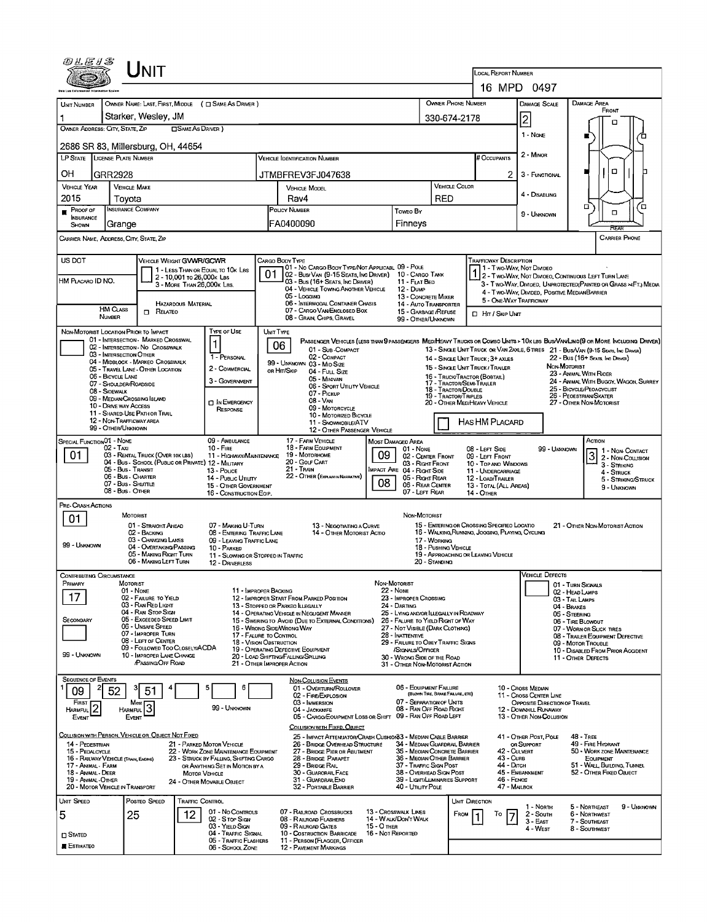| UNIT                                                                                                                                                                                              |                                                                                                          |                                                                                     |                                                                                                                                                                                                                    |  |  |  |  |  |  |  |
|---------------------------------------------------------------------------------------------------------------------------------------------------------------------------------------------------|----------------------------------------------------------------------------------------------------------|-------------------------------------------------------------------------------------|--------------------------------------------------------------------------------------------------------------------------------------------------------------------------------------------------------------------|--|--|--|--|--|--|--|
|                                                                                                                                                                                                   | LOCAL REPORT NUMBER                                                                                      | 16 MPD 0497                                                                         |                                                                                                                                                                                                                    |  |  |  |  |  |  |  |
|                                                                                                                                                                                                   |                                                                                                          |                                                                                     |                                                                                                                                                                                                                    |  |  |  |  |  |  |  |
| OWNER NAME: LAST, FIRST, MIDDLE ( C SAME AS DRIVER )<br><b>UNIT NUMBER</b>                                                                                                                        |                                                                                                          | OWNER PHONE NUMBER                                                                  | DAMAGE AREA<br>DAMAGE SCALE<br>FRONT                                                                                                                                                                               |  |  |  |  |  |  |  |
| Starker, Wesley, JM<br>OWNER ADDRESS: CITY, STATE, ZIP<br>□ SAME AS DRIVER )                                                                                                                      |                                                                                                          | 330-674-2178                                                                        | $\overline{c}$<br>о                                                                                                                                                                                                |  |  |  |  |  |  |  |
| 2686 SR 83, Millersburg, OH, 44654                                                                                                                                                                |                                                                                                          |                                                                                     | $1 - \text{None}$                                                                                                                                                                                                  |  |  |  |  |  |  |  |
| LP STATE LICENSE PLATE NUMBER                                                                                                                                                                     | <b>VEHICLE IDENTIFICATION NUMBER</b>                                                                     | # Occupants                                                                         | 2 - MINOR                                                                                                                                                                                                          |  |  |  |  |  |  |  |
| ОН<br>GRR2928                                                                                                                                                                                     | JTMBFREV3FJ047638                                                                                        |                                                                                     | о<br>2<br>3 - FUNCTIONAL                                                                                                                                                                                           |  |  |  |  |  |  |  |
| <b>VEHICLE YEAR</b><br><b>VEHICLE MAKE</b>                                                                                                                                                        | <b>VEHICLE MODEL</b>                                                                                     | <b>VEHICLE COLOR</b>                                                                | 4 - DISABLING                                                                                                                                                                                                      |  |  |  |  |  |  |  |
| 2015<br>Tovota<br>INSURANCE COMPANY<br>PROOF OF                                                                                                                                                   | Rav4<br>POLICY NUMBER                                                                                    | RED                                                                                 | п<br>้ต                                                                                                                                                                                                            |  |  |  |  |  |  |  |
| <b>INSURANCE</b><br>SHOWN<br>Grange                                                                                                                                                               | FA0400090                                                                                                | Toweo By<br>Finneys                                                                 | □<br>9 - UNKNOWN                                                                                                                                                                                                   |  |  |  |  |  |  |  |
| CARRIER NAME, ADDRESS, CITY, STATE, ZIP                                                                                                                                                           |                                                                                                          |                                                                                     | REAR<br><b>CARRIER PHONE</b>                                                                                                                                                                                       |  |  |  |  |  |  |  |
| US DOT                                                                                                                                                                                            | CARGO BODY TYPE                                                                                          | <b>TRAFFICWAY DESCRIPTION</b>                                                       |                                                                                                                                                                                                                    |  |  |  |  |  |  |  |
| <b>VEHICLE WEIGHT GVWR/GCWR</b><br>1 - LESS THAN OR EQUAL TO 10K LBS                                                                                                                              | 01 - No CARGO BODY TYPE/NOT APPLICABL 09 - POLE<br>02 - Bus/Van (9-15 Seats, Inc Driver) 10 - Cargo Tank |                                                                                     | 1 - Two Way, Not Divideo                                                                                                                                                                                           |  |  |  |  |  |  |  |
| 2 - 10,001 To 26,000K Las<br>HM PLACARO ID NO.<br>3 - MORE THAN 26,000K LBS.                                                                                                                      | 03 - Bus (16+ SEATS, INC DRIVER)<br>04 - VEHICLE TOWING ANOTHER VEHICLE                                  | 11 - FLAT BED<br>12 - Dump                                                          | 2 - TWO-WAY, NOT DIVIDEO, CONTINUOUS LEFT TURN LANE<br>3 - Two-Way, Divided, UNPROTECTED (PAINTED OR GRASS >4FT.) MEDIA                                                                                            |  |  |  |  |  |  |  |
| <b>HAZARDOUS MATERIAL</b>                                                                                                                                                                         | 05 - Locging<br>06 - INTERMODAL CONTAINER CHASIS                                                         | 13 - CONCRETE MIXER<br><b>14 - AUTO TRANSPORTER</b>                                 | 4 - Two-Way, Divided, Positive MedianBarrier<br>5 - ONE WAY TRAFFICWAY                                                                                                                                             |  |  |  |  |  |  |  |
| <b>HM CLASS</b><br>$\Box$ Related<br><b>NUMBER</b>                                                                                                                                                | 07 - CARGO VAN ENCLOSED BOX<br>08 - GRAIN, CHIPS, GRAVEL                                                 | 15 - GARBAGE /REFUSE<br>□ Hr / Skip UNT<br>99 - OTHER/UNKNOWN                       |                                                                                                                                                                                                                    |  |  |  |  |  |  |  |
| TYPE OF USE<br>NON-MOTORIST LOCATION PRIOR TO IMPACT<br>01 - INTERSECTION - MARKED CROSSWAL                                                                                                       | UNIT TYPE                                                                                                |                                                                                     |                                                                                                                                                                                                                    |  |  |  |  |  |  |  |
| 02 - INTERSECTION - NO CROSSWALK<br>03 - INTERSECTION OTHER                                                                                                                                       | 06<br>01 - Sur - COMPACT                                                                                 |                                                                                     | PASSENGER VEHICLES (LESS THAN 9 PASSENGERS MEDIMEAVY TRUCKS OR COMBO UNITS > 10K LBS BUS/VAWLIMO(9 OR MORE INCLUDING DRIVER)<br>13 - SINGLE UNIT TRUCK OR VAN 2AXLE, 6 TIRES 21 - BUS/VAN (9-15 SEATS, INC DRIVER) |  |  |  |  |  |  |  |
| 1 - PERSONAL<br>04 - MIDBLOCK - MARKEO CROSSWALK<br>2 - COMMERCIAL<br>05 - Travel Lane - Other Location                                                                                           | 02 - COMPACT<br>99 - UNKNOWN 03 - MID SIZE<br>OR HIT/SKIP                                                | 14 - SINGLE UNIT TRUCK : 3+ AXLES<br>15 - SINGLE UNIT TRUCK / TRAILER               | 22 - Bus (16+ Seats, Inc Driver)<br>NON-MOTORIST                                                                                                                                                                   |  |  |  |  |  |  |  |
| 06 - BICYCLE LANE<br>3 - GOVERNMENT<br>07 - Shoulder/Roadside                                                                                                                                     | 04 - FutL Size<br>05 - MINIVAN<br>06 - SPORT UTILITY VEHICLE                                             | 16 - TRUCK/TRACTOR (BOBTAIL)<br>17 - TRACTOR/SEMI-TRAILER                           | 23 - ANIMAL WITH RIDER<br>24 - ANIMAL WITH BUGGY, WAGON, SURREY                                                                                                                                                    |  |  |  |  |  |  |  |
| 08 - SIOEWALK<br>09 - MEDIAN/CROSSING ISLAND<br><b>D</b> IN EMERGENCY                                                                                                                             | 07 - Pickup<br>08 - VAN                                                                                  | 18 - Tractor/Double<br>19 - TRACTOR/TRIPLES                                         | 25 - BICYCLE/PEOACYCLIST<br>26 - PEOESTRIAN SKATER                                                                                                                                                                 |  |  |  |  |  |  |  |
| 10 - DRIVE WAY ACCESS<br>RESPONSE<br>11 - Shared-Use Path or Trail                                                                                                                                | 09 - MOTORCYCLE<br>10 - MOTORIZED BICYCLE                                                                | 20 - OTHER MEDIHEAVY VEHICLE                                                        | 27 - OTHER NON-MOTORIST                                                                                                                                                                                            |  |  |  |  |  |  |  |
| 12 - NON-TRAFFICWAY AREA<br>99 - OTHER/UNKNOWN                                                                                                                                                    | 11 - SNOWMOBILE/ATV<br>12 - OTHER PASSENGER VEHICLE                                                      | HAS HM PLACARD                                                                      |                                                                                                                                                                                                                    |  |  |  |  |  |  |  |
| SPECIAL FUNCTION 01 - NONE<br>09 - AMBULANCE<br>02 - Taxi<br>$10 -$ Fire                                                                                                                          | 17 - FARM VEHICLE<br>MOST DAMAGED AREA<br>18 - FARM EQUIPMENT                                            | 01 - NONE<br>08 - LEFT SIDE                                                         | Аспом<br>99 - Unknown                                                                                                                                                                                              |  |  |  |  |  |  |  |
| 01<br>03 - RENTAL TRUCK (OVER 10K LBS)<br>04 - Bus - SCHOOL (PUBLIC OR PRIVATE) 12 - MILITARY                                                                                                     | 19 - Мотовноме<br>09<br>11 - HIGHWAY/MAINTENANCE<br>20 - GOLF CART                                       | 02 - CENTER FRONT<br>09 - LEFT FRONT<br>03 - Right Front<br>10 - TOP ANO WINDOWS    | 1 - Non Contact<br>3 2 - Non-Coursion<br>3 - STRIKING                                                                                                                                                              |  |  |  |  |  |  |  |
| 05 - Bus - Transit<br>13 - Pouce<br>06 - Bus - Charter<br>14 - PuBLIC UTILITY                                                                                                                     | 21 - Tran<br><b>IMPACT ARE 04 - RIGHT SIDE</b><br>22 - OTHER (EXPLAN IN NASRATIVE)                       | 11 - UNDERCARRIAGE<br>05 - Right Rear<br>12 - LOAD/TRAILER                          | 4 - STRUCK<br>5 - STRIKING/STRUCK                                                                                                                                                                                  |  |  |  |  |  |  |  |
| 07 - Bus - Shuttue<br>15 - OTHER GOVERNMENT<br>08 - Bus - Other<br>16 - CONSTRUCTION EOIP.                                                                                                        | 08                                                                                                       | 06 - REAR CENTER<br>13 - TOTAL (ALL AREAS)<br>07 - LEFT REAR<br>14 - OTHER          | 9 - UNKNOWN                                                                                                                                                                                                        |  |  |  |  |  |  |  |
| PRE- CRASH ACTIONS                                                                                                                                                                                |                                                                                                          |                                                                                     |                                                                                                                                                                                                                    |  |  |  |  |  |  |  |
| <b>MOTORIST</b><br>01<br>01 - STRAIGHT AHEAD<br>07 - MAKING U-TURN                                                                                                                                | 13 - NEGOTIATING A CURVE                                                                                 | NON-MOTORIST<br>15 - ENTERING OR CROSSING SPECIFIED LOCATIO                         | 21 - OTHER NON-MOTORIST ACTION                                                                                                                                                                                     |  |  |  |  |  |  |  |
| 02 - BACKING<br>03 - CHANGING LANES<br>99 - UNKNOWN                                                                                                                                               | 08 - ENTERING TRAFFIC LANE<br>14 - OTHER MOTORIST ACTIO<br>09 - LEAVING TRAFFIC LANE                     | 16 - WALKING RUNNING, JOGGING, PLAYING, CYCLING<br>17 - WORKING                     |                                                                                                                                                                                                                    |  |  |  |  |  |  |  |
| 04 - OVERTAKING/PASSING<br>10 - PARKED<br>05 - MAKING RIGHT TURN                                                                                                                                  | 11 - SLOWING OR STOPPED IN TRAFFIC                                                                       | 18 - PUSHING VEHICLE<br>19 - APPROACHING OR LEAVING VEHICLE                         |                                                                                                                                                                                                                    |  |  |  |  |  |  |  |
| 06 - MAKING LEFT TURN<br>12 - DRIVERLESS<br>Contributing Circumstance                                                                                                                             |                                                                                                          | 20 - Standing                                                                       | VEHICLE LJEFECTS                                                                                                                                                                                                   |  |  |  |  |  |  |  |
| PRIMARY<br>MOTORIST<br>01 - None                                                                                                                                                                  | NON MOTORIST<br>11 - IMPROPER BACKING<br><b>22 - NONE</b>                                                |                                                                                     | 01 - TURN SIGNALS<br>02 - HEAD LAMPS                                                                                                                                                                               |  |  |  |  |  |  |  |
| 17<br>02 - FAILURE TO YIELD<br>03 - RAN RED LIGHT                                                                                                                                                 | 12 - IMPROPER START FROM PARKED POSITION<br>13 - STOPPED OR PARKEO LLEGALLY<br>24 - DARTING              | 23 - IMPROPER CROSSING                                                              | 03 - TAIL LAUPS<br>04 - Brakes                                                                                                                                                                                     |  |  |  |  |  |  |  |
| 04 - RAN STOP SIGN<br>05 - Exceeded Speed Limit<br>SECONDARY                                                                                                                                      | 14 - OPERATING VEHICLE IN NEGLIGENT MANNER<br>15 - SWERING TO AVOID (DUE TO EXTERNAL CONDITIONS)         | 25 - LYING AND/OR LLEGALLY IN ROADWAY<br>26 - FALURE TO YIELD RIGHT OF WAY          | 05 - STEERING<br>06 - TIRE BLOWOUT                                                                                                                                                                                 |  |  |  |  |  |  |  |
| 06 - UNSAFE SPEED<br>07 - IMPROPER TURN                                                                                                                                                           | 16 - WRONG SIDEAVRONG WAY<br>17 - FALURE TO CONTROL<br>28 - INATTENTIVE                                  | 27 - NOT VISIBLE (DARK CLOTHING)                                                    | 07 - WORN OR SLICK TIRES<br>08 - TRAILER EQUIPMENT DEFECTIVE                                                                                                                                                       |  |  |  |  |  |  |  |
| 08 - LEFT OF CENTER<br>09 - FOLLOWED TOO CLOSELY/ACDA<br>99 - UNKNOWN                                                                                                                             | <b>18 - VISION OBSTRUCTION</b><br>19 - OPERATING DEFECTIVE EQUIPMENT                                     | 29 - FAILURE TO OBEY TRAFFIC SIGNS<br>/Stonals/Officer                              | 09 - MOTOR TROUBLE<br>10 - DISABLED FROM PRIOR ACCIDENT                                                                                                                                                            |  |  |  |  |  |  |  |
| 10 - IMPROPER LANE CHANGE<br><b>PASSING OFF ROAD</b>                                                                                                                                              | 20 - LOAD SHIFTING/FALLING/SPILLING<br>21 - Отнер Імррорер Астіон                                        | 30 - WRONG SIDE OF THE ROAD<br>31 - OTHER NON-MOTORIST ACTION                       | 11 - OTHER DEFECTS                                                                                                                                                                                                 |  |  |  |  |  |  |  |
| <b>SEQUENCE OF EVENTS</b>                                                                                                                                                                         | <b>NON-COLLISION EVENTS</b><br>01 - OVERTURN/ROLLOVER                                                    | 06 - EQUIPMENT FAILURE                                                              | 10 - Cross Median                                                                                                                                                                                                  |  |  |  |  |  |  |  |
| 52<br>51<br>09<br>FIRST<br>Most                                                                                                                                                                   | 02 - FIRE/EXPLOSION<br>03 - IMMERSION                                                                    | (BLOWN TIRE, BRAKE FAILURE, ETC)<br>07 - SEPARATION OF UNITS                        | 11 - Cross Center Line<br>OPPOSITE DIRECTION OF TRAVEL                                                                                                                                                             |  |  |  |  |  |  |  |
| 3<br> 2<br>99 - UNKNOWN<br><b>HARMFUL</b><br><b>HARMFUL</b><br>Event<br>Event                                                                                                                     | 04 - JACKKNIFE<br>05 - CARGO/EOUIPMENT LOSS OR SHIFT 09 - RAN OFF ROAD LEFT                              | 08 - RAN OFF ROAD RIGHT                                                             | 12 - DOWNHILL RUNAWAY<br>13 - OTHER NON-COLLISION                                                                                                                                                                  |  |  |  |  |  |  |  |
| COLLISION WITH PERSON, VEHICLE OR, OBJECT NOT FIXED                                                                                                                                               | COLLISION WITH FIXED, OBJECT                                                                             |                                                                                     |                                                                                                                                                                                                                    |  |  |  |  |  |  |  |
| 14 - PEDESTRIAN<br>21 - PARKED MOTOR VEHICLE                                                                                                                                                      | 25 - IMPACT ATTENUATOR/CRASH CUSHION33 - MEDIAN CABLE BARRIER<br>26 - BRIDGE OVERHEAD STRUCTURE          | 34 - MEDIAN GUARDRAIL BARRIER                                                       | 41 - OTHER POST, POLE<br><b>48 - TREE</b><br>OR SUPPORT<br>49 - FIRE HYDRANT<br>42 - Culvert                                                                                                                       |  |  |  |  |  |  |  |
| 15 - PEDALCYCLE<br>22 - WORK ZONE MAINTENANCE EQUIPMENT<br>16 - RAILWAY VEHICLE (TRAIN, ENGINE)<br>23 - STRUCK BY FALLING, SHIFTING CARGO<br>17 - Animal - Farm<br>OR ANYTHING SET IN MOTION BY A | 27 - BRIDGE PIER OR ABUTMENT<br>28 - BRIDGE PARAPET<br>29 - BRIDGE RAIL                                  | 35 - MEOIAN CONCRETE BARRIER<br>36 - MEOIAN OTHER BARRIER<br>37 - TRAFFIC SIGN POST | 50 - WORK ZONE MAINTENANCE<br>43 - Curs<br>EQUIPMENT<br>44 - Олтсн<br>51 - WALL BUILDING, TUNNEL                                                                                                                   |  |  |  |  |  |  |  |
| 18 - ANIMAL DEER<br><b>MOTOR VEHICLE</b><br>19 - Animal - Other<br>24 - OTHER MOVABLE OBJECT                                                                                                      | 30 - GUARORAL FACE<br>31 - GUARDRAILEND                                                                  | 38 - OVERHEAD SIGN POST<br>39 - LIGHT/LUMINARIES SUPPORT                            | 45 - EMBANKMENT<br>52 - OTHER FIXED OBJECT<br>46 - FENCE                                                                                                                                                           |  |  |  |  |  |  |  |
| 20 - MOTOR VEHICLE IN TRANSPORT                                                                                                                                                                   | 32 - PORTABLE BARRIER                                                                                    | 40 - UTILITY POLE                                                                   | 47 - MAILBOX                                                                                                                                                                                                       |  |  |  |  |  |  |  |
| <b>UNIT SPEED</b><br>POSTEO SPEED<br>TRAFFIC CONTROL<br>01 - No CONTROLS                                                                                                                          | 07 - RAILROAD CROSSBUCKS<br>13 - Crosswalk Lines                                                         | UNIT DIRECTION<br>FROM<br>To                                                        | 5 - NORTHEAST<br>9 - Unknown<br>1 - North<br>2 - South<br>6 - Northwest                                                                                                                                            |  |  |  |  |  |  |  |
| 12<br>5<br>25<br>02 - S TOP SIGN<br>03 - YIELD SIGN                                                                                                                                               | 08 - RAILROAD FLASHERS<br>14 - WALK/DON'T WALK<br>15 - О тная<br>09 - RAILROAD GATES                     |                                                                                     | 3 - East<br>7 - SOUTHEAST<br>4 - West<br>8 - SOUTHWEST                                                                                                                                                             |  |  |  |  |  |  |  |
| 04 - TRAFFIC SIGNAL<br>$\square$ Stated<br>05 - TRAFFIC FLASHERS<br>ESTIMATEO                                                                                                                     | 16 - Not REPORTED<br>10 - COSTRUCTION BARRICADE<br>11 - PERSON (FLAGGER, OFFICER                         |                                                                                     |                                                                                                                                                                                                                    |  |  |  |  |  |  |  |
| 06 - SCHOOL ZONE                                                                                                                                                                                  | <b>12 - PAVEMENT MARKINGS</b>                                                                            |                                                                                     |                                                                                                                                                                                                                    |  |  |  |  |  |  |  |